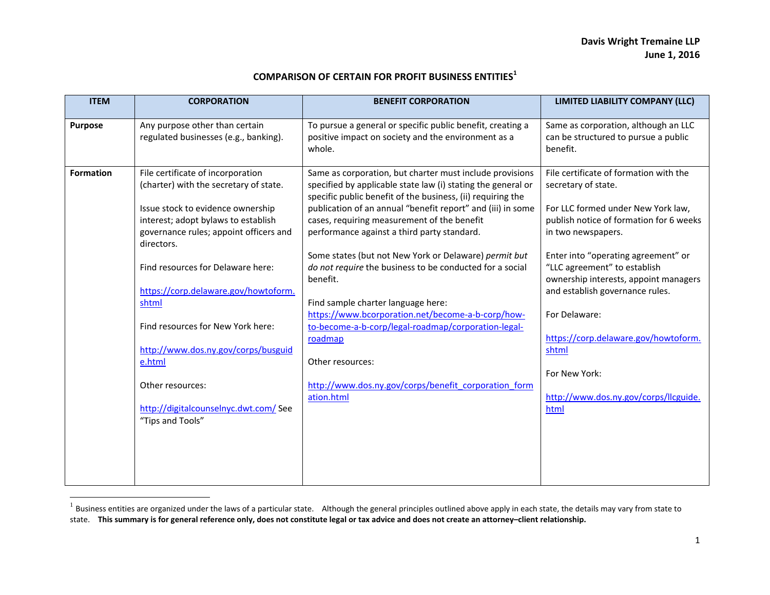## **COMPARISON OF CERTAIN FOR PROFIT BUSINESS ENTITIES<sup>1</sup>**

| <b>ITEM</b>      | <b>CORPORATION</b>                                                                                                               | <b>BENEFIT CORPORATION</b>                                                                                                                                | LIMITED LIABILITY COMPANY (LLC)                                                                              |
|------------------|----------------------------------------------------------------------------------------------------------------------------------|-----------------------------------------------------------------------------------------------------------------------------------------------------------|--------------------------------------------------------------------------------------------------------------|
| Purpose          | Any purpose other than certain<br>regulated businesses (e.g., banking).                                                          | To pursue a general or specific public benefit, creating a<br>positive impact on society and the environment as a<br>whole.                               | Same as corporation, although an LLC<br>can be structured to pursue a public<br>benefit.                     |
| <b>Formation</b> | File certificate of incorporation                                                                                                | Same as corporation, but charter must include provisions                                                                                                  | File certificate of formation with the                                                                       |
|                  | (charter) with the secretary of state.                                                                                           | specified by applicable state law (i) stating the general or<br>specific public benefit of the business, (ii) requiring the                               | secretary of state.                                                                                          |
|                  | Issue stock to evidence ownership<br>interest; adopt bylaws to establish<br>governance rules; appoint officers and<br>directors. | publication of an annual "benefit report" and (iii) in some<br>cases, requiring measurement of the benefit<br>performance against a third party standard. | For LLC formed under New York law,<br>publish notice of formation for 6 weeks<br>in two newspapers.          |
|                  | Find resources for Delaware here:                                                                                                | Some states (but not New York or Delaware) permit but<br>do not require the business to be conducted for a social<br>benefit.                             | Enter into "operating agreement" or<br>"LLC agreement" to establish<br>ownership interests, appoint managers |
|                  | https://corp.delaware.gov/howtoform.<br>shtml                                                                                    | Find sample charter language here:                                                                                                                        | and establish governance rules.                                                                              |
|                  | Find resources for New York here:                                                                                                | https://www.bcorporation.net/become-a-b-corp/how-<br>to-become-a-b-corp/legal-roadmap/corporation-legal-                                                  | For Delaware:                                                                                                |
|                  | http://www.dos.ny.gov/corps/busguid<br>e.html                                                                                    | roadmap<br>Other resources:                                                                                                                               | https://corp.delaware.gov/howtoform.<br>shtml                                                                |
|                  | Other resources:                                                                                                                 | http://www.dos.ny.gov/corps/benefit corporation form                                                                                                      | For New York:                                                                                                |
|                  | http://digitalcounselnyc.dwt.com/ See                                                                                            | ation.html                                                                                                                                                | http://www.dos.ny.gov/corps/llcguide.<br>html                                                                |
|                  | "Tips and Tools"                                                                                                                 |                                                                                                                                                           |                                                                                                              |
|                  |                                                                                                                                  |                                                                                                                                                           |                                                                                                              |
|                  |                                                                                                                                  |                                                                                                                                                           |                                                                                                              |

 $^1$  Business entities are organized under the laws of a particular state. Although the general principles outlined above apply in each state, the details may vary from state to state. **This summary is for general reference only, does not constitute legal or tax advice and does not create an attorney–client relationship.**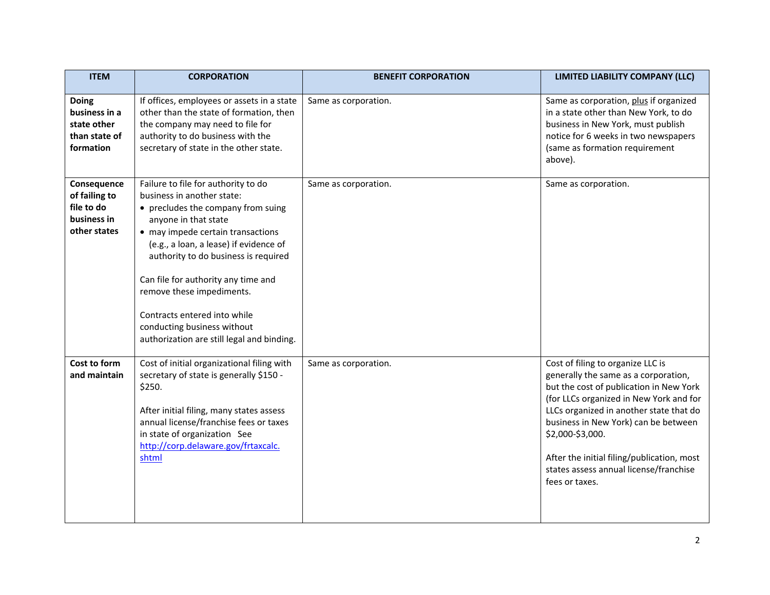| <b>ITEM</b>                                                                | <b>CORPORATION</b>                                                                                                                                                                                                                                                                                                                                                                                                                      | <b>BENEFIT CORPORATION</b> | LIMITED LIABILITY COMPANY (LLC)                                                                                                                                                                                                                                                                                                                                                  |
|----------------------------------------------------------------------------|-----------------------------------------------------------------------------------------------------------------------------------------------------------------------------------------------------------------------------------------------------------------------------------------------------------------------------------------------------------------------------------------------------------------------------------------|----------------------------|----------------------------------------------------------------------------------------------------------------------------------------------------------------------------------------------------------------------------------------------------------------------------------------------------------------------------------------------------------------------------------|
| <b>Doing</b><br>business in a<br>state other<br>than state of<br>formation | If offices, employees or assets in a state<br>other than the state of formation, then<br>the company may need to file for<br>authority to do business with the<br>secretary of state in the other state.                                                                                                                                                                                                                                | Same as corporation.       | Same as corporation, plus if organized<br>in a state other than New York, to do<br>business in New York, must publish<br>notice for 6 weeks in two newspapers<br>(same as formation requirement<br>above).                                                                                                                                                                       |
| Consequence<br>of failing to<br>file to do<br>business in<br>other states  | Failure to file for authority to do<br>business in another state:<br>• precludes the company from suing<br>anyone in that state<br>• may impede certain transactions<br>(e.g., a loan, a lease) if evidence of<br>authority to do business is required<br>Can file for authority any time and<br>remove these impediments.<br>Contracts entered into while<br>conducting business without<br>authorization are still legal and binding. | Same as corporation.       | Same as corporation.                                                                                                                                                                                                                                                                                                                                                             |
| Cost to form<br>and maintain                                               | Cost of initial organizational filing with<br>secretary of state is generally \$150 -<br>\$250.<br>After initial filing, many states assess<br>annual license/franchise fees or taxes<br>in state of organization See<br>http://corp.delaware.gov/frtaxcalc.<br>shtml                                                                                                                                                                   | Same as corporation.       | Cost of filing to organize LLC is<br>generally the same as a corporation,<br>but the cost of publication in New York<br>(for LLCs organized in New York and for<br>LLCs organized in another state that do<br>business in New York) can be between<br>\$2,000-\$3,000.<br>After the initial filing/publication, most<br>states assess annual license/franchise<br>fees or taxes. |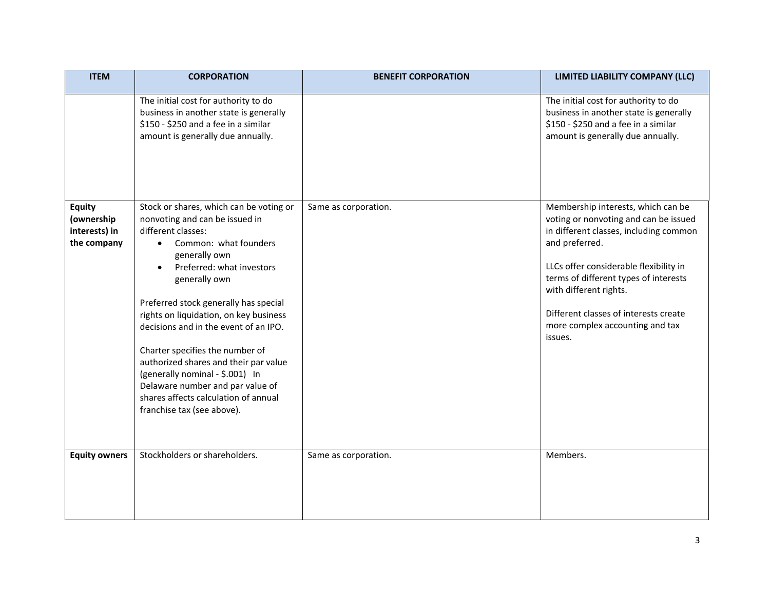| <b>ITEM</b>                                                 | <b>CORPORATION</b>                                                                                                                                                                                                                                                                                                                                                                                                                                                                                                                           | <b>BENEFIT CORPORATION</b> | LIMITED LIABILITY COMPANY (LLC)                                                                                                                                                                                                                                                                                                             |
|-------------------------------------------------------------|----------------------------------------------------------------------------------------------------------------------------------------------------------------------------------------------------------------------------------------------------------------------------------------------------------------------------------------------------------------------------------------------------------------------------------------------------------------------------------------------------------------------------------------------|----------------------------|---------------------------------------------------------------------------------------------------------------------------------------------------------------------------------------------------------------------------------------------------------------------------------------------------------------------------------------------|
|                                                             | The initial cost for authority to do<br>business in another state is generally<br>\$150 - \$250 and a fee in a similar<br>amount is generally due annually.                                                                                                                                                                                                                                                                                                                                                                                  |                            | The initial cost for authority to do<br>business in another state is generally<br>\$150 - \$250 and a fee in a similar<br>amount is generally due annually.                                                                                                                                                                                 |
| <b>Equity</b><br>(ownership<br>interests) in<br>the company | Stock or shares, which can be voting or<br>nonvoting and can be issued in<br>different classes:<br>Common: what founders<br>generally own<br>Preferred: what investors<br>generally own<br>Preferred stock generally has special<br>rights on liquidation, on key business<br>decisions and in the event of an IPO.<br>Charter specifies the number of<br>authorized shares and their par value<br>(generally nominal - \$.001) In<br>Delaware number and par value of<br>shares affects calculation of annual<br>franchise tax (see above). | Same as corporation.       | Membership interests, which can be<br>voting or nonvoting and can be issued<br>in different classes, including common<br>and preferred.<br>LLCs offer considerable flexibility in<br>terms of different types of interests<br>with different rights.<br>Different classes of interests create<br>more complex accounting and tax<br>issues. |
| <b>Equity owners</b>                                        | Stockholders or shareholders.                                                                                                                                                                                                                                                                                                                                                                                                                                                                                                                | Same as corporation.       | Members.                                                                                                                                                                                                                                                                                                                                    |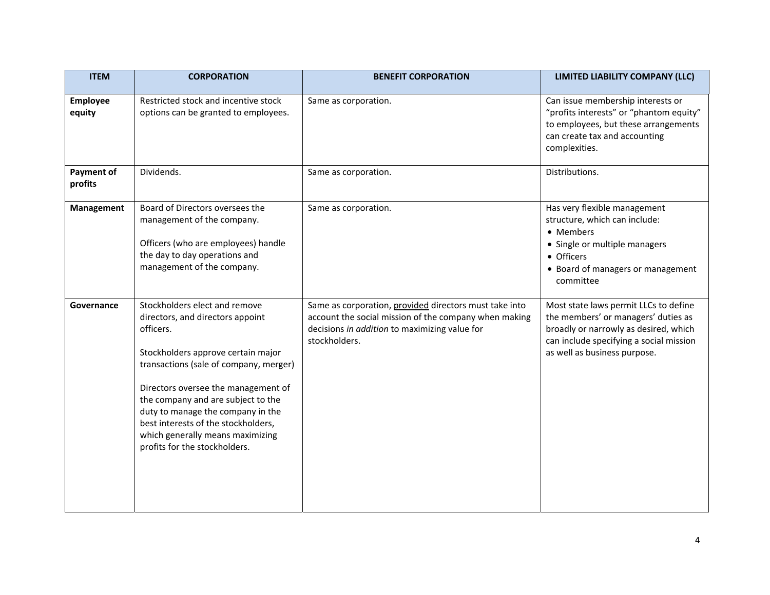| <b>ITEM</b>               | <b>CORPORATION</b>                                                                                                                                                                                                                                                                                                                                                                           | <b>BENEFIT CORPORATION</b>                                                                                                                                                        | LIMITED LIABILITY COMPANY (LLC)                                                                                                                                                                  |
|---------------------------|----------------------------------------------------------------------------------------------------------------------------------------------------------------------------------------------------------------------------------------------------------------------------------------------------------------------------------------------------------------------------------------------|-----------------------------------------------------------------------------------------------------------------------------------------------------------------------------------|--------------------------------------------------------------------------------------------------------------------------------------------------------------------------------------------------|
| <b>Employee</b><br>equity | Restricted stock and incentive stock<br>options can be granted to employees.                                                                                                                                                                                                                                                                                                                 | Same as corporation.                                                                                                                                                              | Can issue membership interests or<br>"profits interests" or "phantom equity"<br>to employees, but these arrangements<br>can create tax and accounting<br>complexities.                           |
| Payment of<br>profits     | Dividends.                                                                                                                                                                                                                                                                                                                                                                                   | Same as corporation.                                                                                                                                                              | Distributions.                                                                                                                                                                                   |
| Management                | Board of Directors oversees the<br>management of the company.<br>Officers (who are employees) handle<br>the day to day operations and<br>management of the company.                                                                                                                                                                                                                          | Same as corporation.                                                                                                                                                              | Has very flexible management<br>structure, which can include:<br>• Members<br>• Single or multiple managers<br>• Officers<br>• Board of managers or management<br>committee                      |
| Governance                | Stockholders elect and remove<br>directors, and directors appoint<br>officers.<br>Stockholders approve certain major<br>transactions (sale of company, merger)<br>Directors oversee the management of<br>the company and are subject to the<br>duty to manage the company in the<br>best interests of the stockholders,<br>which generally means maximizing<br>profits for the stockholders. | Same as corporation, provided directors must take into<br>account the social mission of the company when making<br>decisions in addition to maximizing value for<br>stockholders. | Most state laws permit LLCs to define<br>the members' or managers' duties as<br>broadly or narrowly as desired, which<br>can include specifying a social mission<br>as well as business purpose. |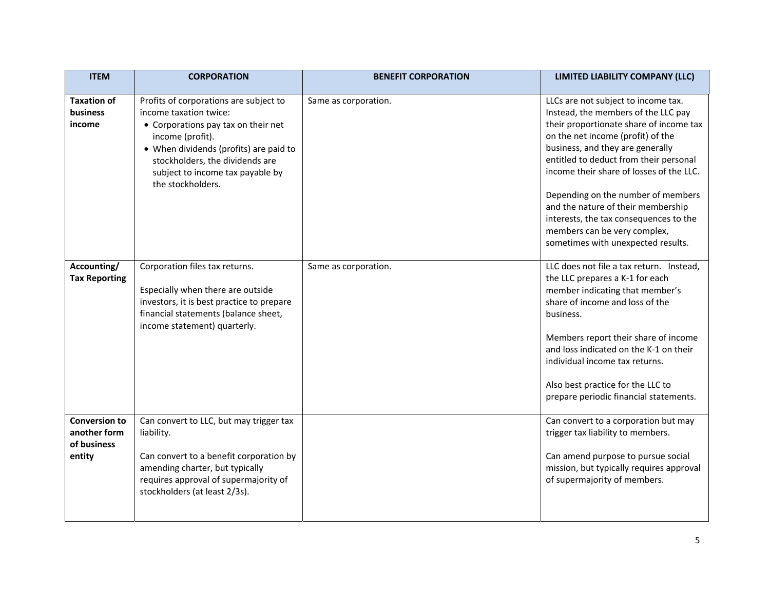| <b>ITEM</b>                                                   | <b>CORPORATION</b>                                                                                                                                                                                                                                                | <b>BENEFIT CORPORATION</b> | LIMITED LIABILITY COMPANY (LLC)                                                                                                                                                                                                                                                                                                                                                                                                                                                  |
|---------------------------------------------------------------|-------------------------------------------------------------------------------------------------------------------------------------------------------------------------------------------------------------------------------------------------------------------|----------------------------|----------------------------------------------------------------------------------------------------------------------------------------------------------------------------------------------------------------------------------------------------------------------------------------------------------------------------------------------------------------------------------------------------------------------------------------------------------------------------------|
| <b>Taxation of</b><br>business<br>income                      | Profits of corporations are subject to<br>income taxation twice:<br>• Corporations pay tax on their net<br>income (profit).<br>• When dividends (profits) are paid to<br>stockholders, the dividends are<br>subject to income tax payable by<br>the stockholders. | Same as corporation.       | LLCs are not subject to income tax.<br>Instead, the members of the LLC pay<br>their proportionate share of income tax<br>on the net income (profit) of the<br>business, and they are generally<br>entitled to deduct from their personal<br>income their share of losses of the LLC.<br>Depending on the number of members<br>and the nature of their membership<br>interests, the tax consequences to the<br>members can be very complex,<br>sometimes with unexpected results. |
| Accounting/<br><b>Tax Reporting</b>                           | Corporation files tax returns.<br>Especially when there are outside<br>investors, it is best practice to prepare<br>financial statements (balance sheet,<br>income statement) quarterly.                                                                          | Same as corporation.       | LLC does not file a tax return. Instead,<br>the LLC prepares a K-1 for each<br>member indicating that member's<br>share of income and loss of the<br>business.<br>Members report their share of income<br>and loss indicated on the K-1 on their<br>individual income tax returns.<br>Also best practice for the LLC to<br>prepare periodic financial statements.                                                                                                                |
| <b>Conversion to</b><br>another form<br>of business<br>entity | Can convert to LLC, but may trigger tax<br>liability.<br>Can convert to a benefit corporation by<br>amending charter, but typically<br>requires approval of supermajority of<br>stockholders (at least 2/3s).                                                     |                            | Can convert to a corporation but may<br>trigger tax liability to members.<br>Can amend purpose to pursue social<br>mission, but typically requires approval<br>of supermajority of members.                                                                                                                                                                                                                                                                                      |